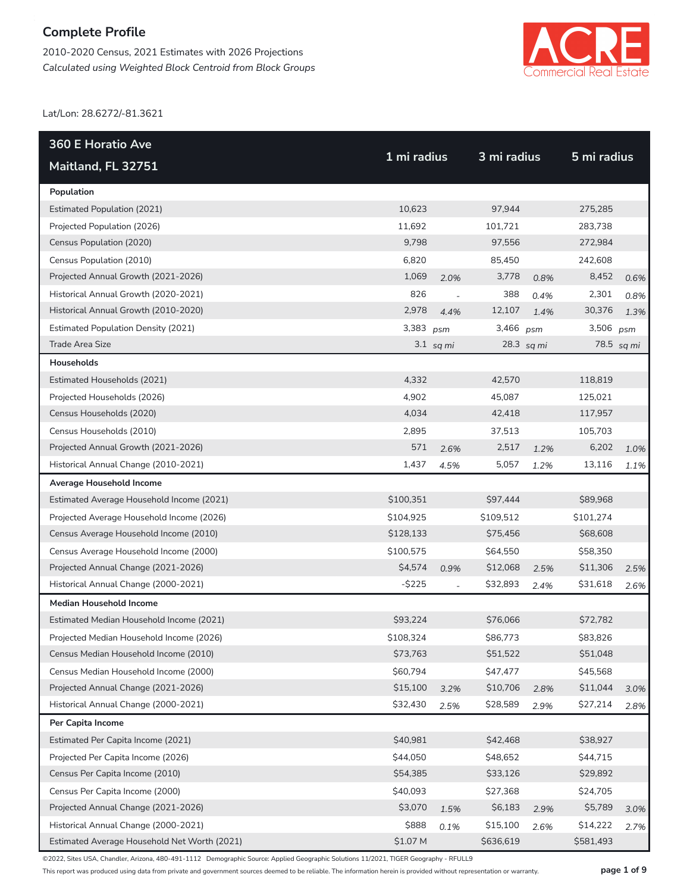2010-2020 Census, 2021 Estimates with 2026 Projections *Calculated using Weighted Block Centroid from Block Groups*



Lat/Lon: 28.6272/-81.3621

| <b>360 E Horatio Ave</b>                     | 1 mi radius |                | 3 mi radius |            | 5 mi radius |            |
|----------------------------------------------|-------------|----------------|-------------|------------|-------------|------------|
| Maitland, FL 32751                           |             |                |             |            |             |            |
| Population                                   |             |                |             |            |             |            |
| <b>Estimated Population (2021)</b>           | 10,623      |                | 97,944      |            | 275,285     |            |
| Projected Population (2026)                  | 11,692      |                | 101,721     |            | 283,738     |            |
| Census Population (2020)                     | 9,798       |                | 97,556      |            | 272,984     |            |
| Census Population (2010)                     | 6,820       |                | 85,450      |            | 242,608     |            |
| Projected Annual Growth (2021-2026)          | 1,069       | 2.0%           | 3,778       | 0.8%       | 8,452       | 0.6%       |
| Historical Annual Growth (2020-2021)         | 826         | $\overline{a}$ | 388         | 0.4%       | 2,301       | 0.8%       |
| Historical Annual Growth (2010-2020)         | 2,978       | 4.4%           | 12,107      | 1.4%       | 30,376      | 1.3%       |
| <b>Estimated Population Density (2021)</b>   | 3,383       | psm            | 3,466 psm   |            | 3,506       | psm        |
| Trade Area Size                              |             | $3.1$ sq mi    |             | 28.3 sq mi |             | 78.5 sq mi |
| Households                                   |             |                |             |            |             |            |
| Estimated Households (2021)                  | 4,332       |                | 42,570      |            | 118,819     |            |
| Projected Households (2026)                  | 4,902       |                | 45,087      |            | 125,021     |            |
| Census Households (2020)                     | 4,034       |                | 42,418      |            | 117,957     |            |
| Census Households (2010)                     | 2,895       |                | 37,513      |            | 105,703     |            |
| Projected Annual Growth (2021-2026)          | 571         | 2.6%           | 2,517       | 1.2%       | 6,202       | 1.0%       |
| Historical Annual Change (2010-2021)         | 1,437       | 4.5%           | 5,057       | 1.2%       | 13,116      | 1.1%       |
| Average Household Income                     |             |                |             |            |             |            |
| Estimated Average Household Income (2021)    | \$100,351   |                | \$97,444    |            | \$89,968    |            |
| Projected Average Household Income (2026)    | \$104,925   |                | \$109,512   |            | \$101,274   |            |
| Census Average Household Income (2010)       | \$128,133   |                | \$75,456    |            | \$68,608    |            |
| Census Average Household Income (2000)       | \$100,575   |                | \$64,550    |            | \$58,350    |            |
| Projected Annual Change (2021-2026)          | \$4,574     | 0.9%           | \$12,068    | 2.5%       | \$11,306    | 2.5%       |
| Historical Annual Change (2000-2021)         | $-$ \$225   |                | \$32,893    | 2.4%       | \$31,618    | 2.6%       |
| <b>Median Household Income</b>               |             |                |             |            |             |            |
| Estimated Median Household Income (2021)     | \$93,224    |                | \$76,066    |            | \$72,782    |            |
| Projected Median Household Income (2026)     | \$108,324   |                | \$86,773    |            | \$83,826    |            |
| Census Median Household Income (2010)        | \$73,763    |                | \$51,522    |            | \$51,048    |            |
| Census Median Household Income (2000)        | \$60,794    |                | \$47,477    |            | \$45,568    |            |
| Projected Annual Change (2021-2026)          | \$15,100    | 3.2%           | \$10,706    | 2.8%       | \$11,044    | 3.0%       |
| Historical Annual Change (2000-2021)         | \$32,430    | 2.5%           | \$28,589    | 2.9%       | \$27,214    | 2.8%       |
| Per Capita Income                            |             |                |             |            |             |            |
| Estimated Per Capita Income (2021)           | \$40,981    |                | \$42,468    |            | \$38,927    |            |
| Projected Per Capita Income (2026)           | \$44,050    |                | \$48,652    |            | \$44,715    |            |
| Census Per Capita Income (2010)              | \$54,385    |                | \$33,126    |            | \$29,892    |            |
| Census Per Capita Income (2000)              | \$40,093    |                | \$27,368    |            | \$24,705    |            |
| Projected Annual Change (2021-2026)          | \$3,070     | 1.5%           | \$6,183     | 2.9%       | \$5,789     | 3.0%       |
| Historical Annual Change (2000-2021)         | \$888       | 0.1%           | \$15,100    | 2.6%       | \$14,222    | 2.7%       |
| Estimated Average Household Net Worth (2021) | \$1.07 M    |                | \$636,619   |            | \$581,493   |            |

©2022, Sites USA, Chandler, Arizona, 480-491-1112 Demographic Source: Applied Geographic Solutions 11/2021, TIGER Geography - RFULL9

This report was produced using data from private and government sources deemed to be reliable. The information herein is provided without representation or warranty. **page 1 of 9**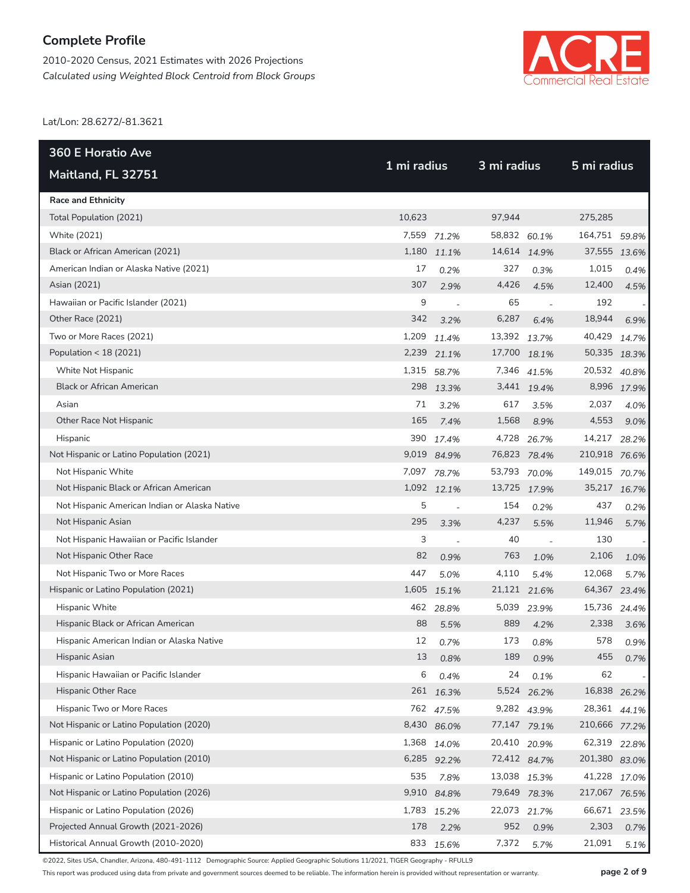2010-2020 Census, 2021 Estimates with 2026 Projections *Calculated using Weighted Block Centroid from Block Groups*



Lat/Lon: 28.6272/-81.3621

| <b>360 E Horatio Ave</b>                      | 1 mi radius |             |              | 3 mi radius              |               |             |  |  |
|-----------------------------------------------|-------------|-------------|--------------|--------------------------|---------------|-------------|--|--|
| Maitland, FL 32751                            |             |             |              |                          | 5 mi radius   |             |  |  |
| <b>Race and Ethnicity</b>                     |             |             |              |                          |               |             |  |  |
| Total Population (2021)                       | 10,623      |             | 97,944       |                          | 275,285       |             |  |  |
| White (2021)                                  |             | 7,559 71.2% | 58,832 60.1% |                          | 164,751 59.8% |             |  |  |
| Black or African American (2021)              | 1,180       | 11.1%       | 14,614 14.9% |                          | 37,555 13.6%  |             |  |  |
| American Indian or Alaska Native (2021)       | 17          | 0.2%        | 327          | 0.3%                     | 1,015         | 0.4%        |  |  |
| Asian (2021)                                  | 307         | 2.9%        | 4,426        | 4.5%                     | 12,400        | 4.5%        |  |  |
| Hawaiian or Pacific Islander (2021)           | 9           | $\sim$      | 65           |                          | 192           |             |  |  |
| Other Race (2021)                             | 342         | 3.2%        | 6,287        | 6.4%                     | 18,944        | 6.9%        |  |  |
| Two or More Races (2021)                      | 1,209       | 11.4%       | 13,392 13.7% |                          | 40,429        | 14.7%       |  |  |
| Population < 18 (2021)                        |             | 2,239 21.1% |              | 17,700 18.1%             | 50,335 18.3%  |             |  |  |
| White Not Hispanic                            |             | 1,315 58.7% |              | 7,346 41.5%              | 20,532 40.8%  |             |  |  |
| <b>Black or African American</b>              |             | 298 13.3%   |              | 3,441 19.4%              |               | 8,996 17.9% |  |  |
| Asian                                         | 71          | 3.2%        | 617          | 3.5%                     | 2,037         | 4.0%        |  |  |
| Other Race Not Hispanic                       | 165         | 7.4%        | 1,568        | 8.9%                     | 4,553         | 9.0%        |  |  |
| Hispanic                                      |             | 390 17.4%   | 4,728        | 26.7%                    | 14,217        | 28.2%       |  |  |
| Not Hispanic or Latino Population (2021)      |             | 9,019 84.9% | 76,823 78.4% |                          | 210,918 76.6% |             |  |  |
| Not Hispanic White                            |             | 7,097 78.7% | 53,793 70.0% |                          | 149,015       | 70.7%       |  |  |
| Not Hispanic Black or African American        |             | 1,092 12.1% | 13,725 17.9% |                          | 35,217 16.7%  |             |  |  |
| Not Hispanic American Indian or Alaska Native | 5           |             | 154          | 0.2%                     | 437           | 0.2%        |  |  |
| Not Hispanic Asian                            | 295         | 3.3%        | 4,237        | 5.5%                     | 11,946        | 5.7%        |  |  |
| Not Hispanic Hawaiian or Pacific Islander     | 3           |             | 40           | $\overline{\phantom{a}}$ | 130           |             |  |  |
| Not Hispanic Other Race                       | 82          | 0.9%        | 763          | 1.0%                     | 2,106         | 1.0%        |  |  |
| Not Hispanic Two or More Races                | 447         | 5.0%        | 4,110        | 5.4%                     | 12,068        | 5.7%        |  |  |
| Hispanic or Latino Population (2021)          |             | 1,605 15.1% | 21,121 21.6% |                          | 64,367 23.4%  |             |  |  |
| Hispanic White                                | 462         | 28.8%       | 5,039        | 23.9%                    | 15,736        | 24.4%       |  |  |
| Hispanic Black or African American            | 88          | 5.5%        | 889          | 4.2%                     | 2,338         | 3.6%        |  |  |
| Hispanic American Indian or Alaska Native     | 12          | 0.7%        | 173          | 0.8%                     | 578           | 0.9%        |  |  |
| Hispanic Asian                                | 13          | 0.8%        | 189          | 0.9%                     | 455           | 0.7%        |  |  |
| Hispanic Hawaiian or Pacific Islander         | 6           | 0.4%        | 24           | 0.1%                     | 62            |             |  |  |
| Hispanic Other Race                           | 261         | 16.3%       |              | 5,524 26.2%              | 16,838 26.2%  |             |  |  |
| Hispanic Two or More Races                    | 762         | 47.5%       |              | 9,282 43.9%              | 28,361 44.1%  |             |  |  |
| Not Hispanic or Latino Population (2020)      |             | 8,430 86.0% |              | 77,147 79.1%             | 210,666 77.2% |             |  |  |
| Hispanic or Latino Population (2020)          | 1,368       | 14.0%       | 20,410 20.9% |                          | 62,319 22.8%  |             |  |  |
| Not Hispanic or Latino Population (2010)      |             | 6,285 92.2% |              | 72,412 84.7%             | 201,380 83.0% |             |  |  |
| Hispanic or Latino Population (2010)          | 535         | 7.8%        | 13,038 15.3% |                          | 41,228        | 17.0%       |  |  |
| Not Hispanic or Latino Population (2026)      | 9,910       | 84.8%       |              | 79,649 78.3%             | 217,067 76.5% |             |  |  |
| Hispanic or Latino Population (2026)          | 1,783       | 15.2%       | 22,073 21.7% |                          | 66,671 23.5%  |             |  |  |
| Projected Annual Growth (2021-2026)           | 178         | 2.2%        | 952          | 0.9%                     | 2,303         | 0.7%        |  |  |
| Historical Annual Growth (2010-2020)          | 833         | 15.6%       | 7,372        | 5.7%                     | 21,091        | 5.1%        |  |  |

©2022, Sites USA, Chandler, Arizona, 480-491-1112 Demographic Source: Applied Geographic Solutions 11/2021, TIGER Geography - RFULL9

This report was produced using data from private and government sources deemed to be reliable. The information herein is provided without representation or warranty. **page 2 of 9**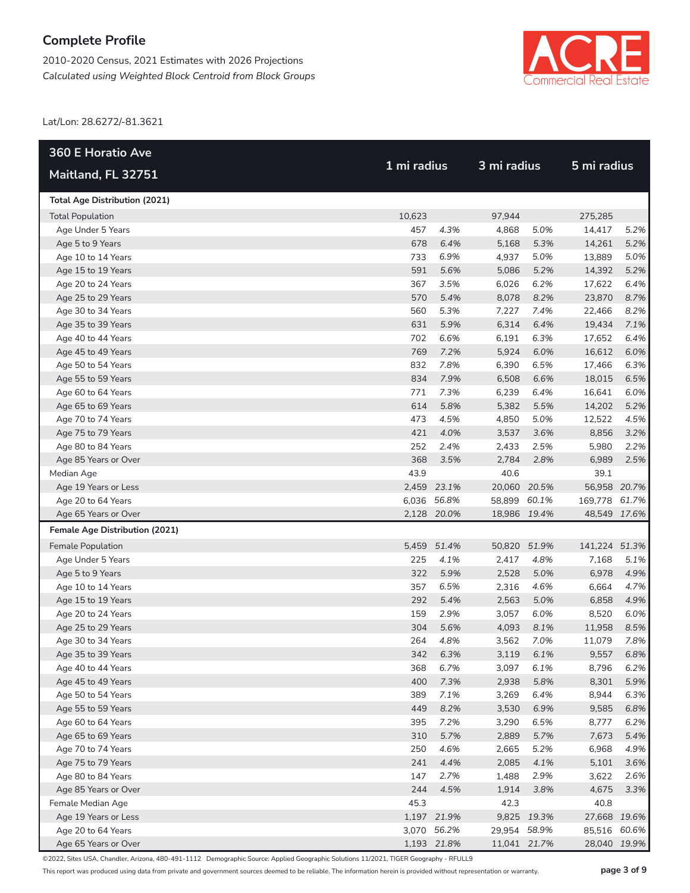2010-2020 Census, 2021 Estimates with 2026 Projections *Calculated using Weighted Block Centroid from Block Groups*



Lat/Lon: 28.6272/-81.3621

| <b>360 E Horatio Ave</b>                 |            |                  | 3 mi radius    |              | 5 mi radius     |              |
|------------------------------------------|------------|------------------|----------------|--------------|-----------------|--------------|
| Maitland, FL 32751                       |            | 1 mi radius      |                |              |                 |              |
| <b>Total Age Distribution (2021)</b>     |            |                  |                |              |                 |              |
| <b>Total Population</b>                  | 10,623     |                  | 97,944         |              | 275,285         |              |
| Age Under 5 Years                        | 457        | 4.3%             | 4,868          | 5.0%         | 14,417          | 5.2%         |
| Age 5 to 9 Years                         | 678        | 6.4%             | 5,168          | 5.3%         | 14,261          | 5.2%         |
| Age 10 to 14 Years                       | 733        | 6.9%             | 4,937          | 5.0%         | 13,889          | 5.0%         |
| Age 15 to 19 Years                       | 591        | 5.6%             | 5,086          | 5.2%         | 14,392          | 5.2%         |
| Age 20 to 24 Years                       | 367        | 3.5%             | 6,026          | 6.2%         | 17,622          | 6.4%         |
| Age 25 to 29 Years                       | 570        | 5.4%             | 8,078          | 8.2%         | 23,870          | 8.7%         |
| Age 30 to 34 Years                       | 560        | 5.3%             | 7,227          | 7.4%         | 22,466          | 8.2%         |
| Age 35 to 39 Years                       | 631        | 5.9%             | 6,314          | 6.4%         | 19,434          | 7.1%         |
| Age 40 to 44 Years                       | 702        | 6.6%             | 6,191          | 6.3%         | 17,652          | 6.4%         |
| Age 45 to 49 Years                       | 769        | 7.2%             | 5,924          | 6.0%         | 16,612          | 6.0%         |
| Age 50 to 54 Years                       | 832        | 7.8%             | 6,390          | 6.5%         | 17,466          | 6.3%         |
| Age 55 to 59 Years                       | 834        | 7.9%             | 6,508          | 6.6%         | 18,015          | 6.5%         |
| Age 60 to 64 Years                       | 771        | 7.3%             | 6,239          | 6.4%         | 16,641          | 6.0%         |
| Age 65 to 69 Years                       | 614        | 5.8%             | 5,382          | 5.5%         | 14,202          | 5.2%         |
| Age 70 to 74 Years                       | 473        | 4.5%             | 4,850          | 5.0%         | 12,522          | 4.5%         |
| Age 75 to 79 Years                       | 421        | 4.0%             | 3,537          | 3.6%         | 8,856           | 3.2%         |
| Age 80 to 84 Years                       | 252        | 2.4%             | 2,433          | 2.5%         | 5,980           | 2.2%         |
| Age 85 Years or Over                     | 368        | 3.5%             | 2,784          | 2.8%         | 6,989           | 2.5%         |
| Median Age                               | 43.9       |                  | 40.6           |              | 39.1            |              |
| Age 19 Years or Less                     |            | 2,459 23.1%      | 20,060 20.5%   |              | 56,958 20.7%    |              |
| Age 20 to 64 Years                       |            | 6,036 56.8%      | 58,899 60.1%   |              | 169,778 61.7%   |              |
| Age 65 Years or Over                     |            | 2,128 20.0%      | 18,986 19.4%   |              | 48,549 17.6%    |              |
| Female Age Distribution (2021)           |            |                  |                |              |                 |              |
| Female Population                        |            | 5,459 51.4%      | 50,820         | 51.9%        | 141,224 51.3%   |              |
| Age Under 5 Years                        | 225        | 4.1%             | 2,417          | 4.8%         | 7,168           | 5.1%         |
| Age 5 to 9 Years                         | 322        | 5.9%             | 2,528          | 5.0%         | 6,978           | 4.9%         |
| Age 10 to 14 Years                       | 357        | 6.5%             | 2,316          | 4.6%         | 6,664           | 4.7%         |
| Age 15 to 19 Years                       | 292<br>159 | 5.4%             | 2,563          | 5.0%         | 6,858           | 4.9%         |
| Age 20 to 24 Years                       | 304        | 2.9%             | 3,057          | 6.0%         | 8,520<br>11,958 | 6.0%         |
| Age 25 to 29 Years<br>Age 30 to 34 Years | 264        | 5.6%<br>4.8%     | 4,093<br>3,562 | 8.1%<br>7.0% | 11,079          | 8.5%<br>7.8% |
|                                          |            |                  |                |              | 9,557           | 6.8%         |
| Age 35 to 39 Years<br>Age 40 to 44 Years | 368        | 342 6.3%<br>6.7% | 3,119<br>3,097 | 6.1%<br>6.1% | 8,796           | 6.2%         |
| Age 45 to 49 Years                       | 400        | 7.3%             | 2,938          | 5.8%         | 8,301           | 5.9%         |
| Age 50 to 54 Years                       | 389        | 7.1%             | 3,269          | 6.4%         | 8,944           | 6.3%         |
| Age 55 to 59 Years                       | 449        | 8.2%             | 3,530          | 6.9%         | 9,585           | 6.8%         |
| Age 60 to 64 Years                       | 395        | 7.2%             | 3,290          | 6.5%         | 8,777           | 6.2%         |
| Age 65 to 69 Years                       | 310        | 5.7%             | 2,889          | 5.7%         | 7,673           | 5.4%         |
| Age 70 to 74 Years                       | 250        | 4.6%             | 2,665          | 5.2%         | 6,968           | 4.9%         |
| Age 75 to 79 Years                       | 241        | 4.4%             | 2,085          | 4.1%         | 5,101           | 3.6%         |
| Age 80 to 84 Years                       | 147        | 2.7%             | 1,488          | 2.9%         | 3,622           | 2.6%         |
| Age 85 Years or Over                     | 244        | 4.5%             | 1,914          | 3.8%         | 4,675           | 3.3%         |
| Female Median Age                        | 45.3       |                  | 42.3           |              | 40.8            |              |
| Age 19 Years or Less                     |            | 1,197 21.9%      |                | 9,825 19.3%  | 27,668 19.6%    |              |
| Age 20 to 64 Years                       |            | 3,070 56.2%      | 29,954         | 58.9%        | 85,516 60.6%    |              |
| Age 65 Years or Over                     |            | 1,193 21.8%      | 11,041 21.7%   |              | 28,040 19.9%    |              |

©2022, Sites USA, Chandler, Arizona, 480-491-1112 Demographic Source: Applied Geographic Solutions 11/2021, TIGER Geography - RFULL9

This report was produced using data from private and government sources deemed to be reliable. The information herein is provided without representation or warranty. **page 3 of 9**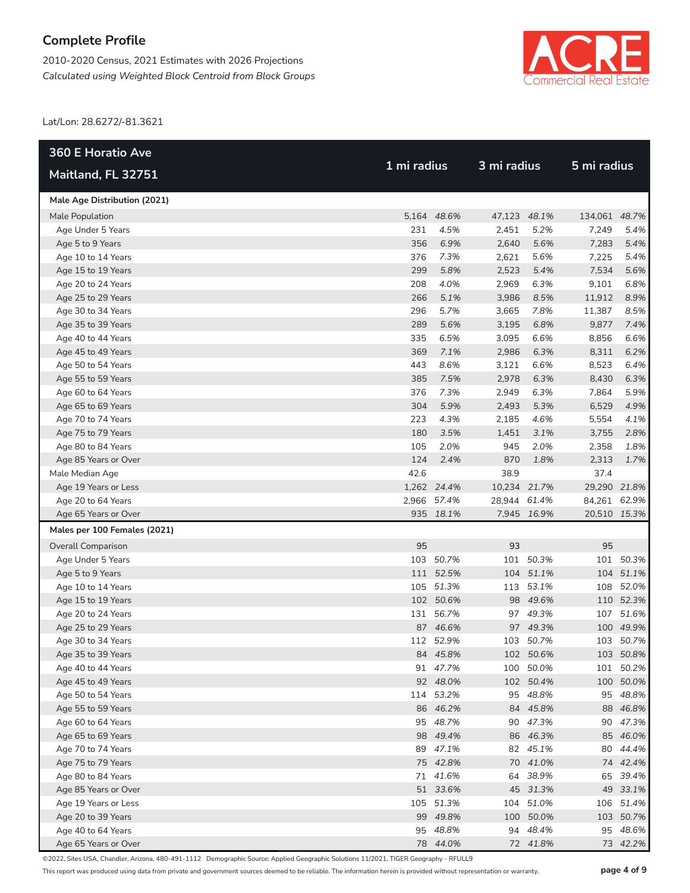2010-2020 Census, 2021 Estimates with 2026 Projections *Calculated using Weighted Block Centroid from Block Groups*



Lat/Lon: 28.6272/-81.3621

| <b>360 E Horatio Ave</b>     |             |             |              |             | 5 mi radius   |              |  |
|------------------------------|-------------|-------------|--------------|-------------|---------------|--------------|--|
| Maitland, FL 32751           | 1 mi radius |             |              | 3 mi radius |               |              |  |
| Male Age Distribution (2021) |             |             |              |             |               |              |  |
| Male Population              |             | 5,164 48.6% | 47,123 48.1% |             | 134,061 48.7% |              |  |
| Age Under 5 Years            | 231         | 4.5%        | 2,451        | 5.2%        | 7,249         | 5.4%         |  |
| Age 5 to 9 Years             | 356         | 6.9%        | 2,640        | 5.6%        | 7,283         | 5.4%         |  |
| Age 10 to 14 Years           | 376         | 7.3%        | 2,621        | 5.6%        | 7,225         | 5.4%         |  |
| Age 15 to 19 Years           | 299         | 5.8%        | 2,523        | 5.4%        | 7,534         | 5.6%         |  |
| Age 20 to 24 Years           | 208         | 4.0%        | 2,969        | 6.3%        | 9,101         | 6.8%         |  |
| Age 25 to 29 Years           | 266         | 5.1%        | 3,986        | 8.5%        | 11,912        | 8.9%         |  |
| Age 30 to 34 Years           | 296         | 5.7%        | 3,665        | 7.8%        | 11,387        | 8.5%         |  |
| Age 35 to 39 Years           | 289         | 5.6%        | 3,195        | 6.8%        | 9,877         | 7.4%         |  |
| Age 40 to 44 Years           | 335         | 6.5%        | 3,095        | 6.6%        | 8,856         | 6.6%         |  |
| Age 45 to 49 Years           | 369         | 7.1%        | 2,986        | 6.3%        | 8,311         | 6.2%         |  |
| Age 50 to 54 Years           | 443         | 8.6%        | 3,121        | 6.6%        | 8,523         | 6.4%         |  |
| Age 55 to 59 Years           | 385         | 7.5%        | 2,978        | 6.3%        | 8,430         | 6.3%         |  |
| Age 60 to 64 Years           | 376         | 7.3%        | 2,949        | 6.3%        | 7,864         | 5.9%         |  |
| Age 65 to 69 Years           | 304         | 5.9%        | 2,493        | 5.3%        | 6,529         | 4.9%         |  |
| Age 70 to 74 Years           | 223         | 4.3%        | 2,185        | 4.6%        | 5,554         | 4.1%         |  |
| Age 75 to 79 Years           | 180         | 3.5%        | 1,451        | 3.1%        | 3,755         | 2.8%         |  |
| Age 80 to 84 Years           | 105         | 2.0%        | 945          | 2.0%        | 2,358         | 1.8%         |  |
| Age 85 Years or Over         | 124         | 2.4%        | 870          | 1.8%        | 2,313         | 1.7%         |  |
| Male Median Age              | 42.6        |             | 38.9         |             | 37.4          |              |  |
| Age 19 Years or Less         |             | 1,262 24.4% | 10,234 21.7% |             | 29,290 21.8%  |              |  |
| Age 20 to 64 Years           |             | 2,966 57.4% | 28,944 61.4% |             | 84,261 62.9%  |              |  |
| Age 65 Years or Over         |             | 935 18.1%   |              | 7,945 16.9% |               | 20,510 15.3% |  |
| Males per 100 Females (2021) |             |             |              |             |               |              |  |
| <b>Overall Comparison</b>    | 95          |             | 93           |             | 95            |              |  |
| Age Under 5 Years            |             | 103 50.7%   |              | 101 50.3%   |               | 101 50.3%    |  |
| Age 5 to 9 Years             |             | 111 52.5%   |              | 104 51.1%   |               | 104 51.1%    |  |
| Age 10 to 14 Years           |             | 105 51.3%   |              | 113 53.1%   |               | 108 52.0%    |  |
| Age 15 to 19 Years           |             | 102 50.6%   |              | 98 49.6%    |               | 110 52.3%    |  |
| Age 20 to 24 Years           |             | 131 56.7%   |              | 97 49.3%    |               | 107 51.6%    |  |
| Age 25 to 29 Years           |             | 87 46.6%    |              | 97 49.3%    |               | 100 49.9%    |  |
| Age 30 to 34 Years           |             | 112 52.9%   |              | 103 50.7%   |               | 103 50.7%    |  |
| Age 35 to 39 Years           |             | 84 45.8%    |              | 102 50.6%   |               | 103 50.8%    |  |
| Age 40 to 44 Years           |             | 91 47.7%    |              | 100 50.0%   |               | 101 50.2%    |  |
| Age 45 to 49 Years           |             | 92 48.0%    |              | 102 50.4%   |               | 100 50.0%    |  |
| Age 50 to 54 Years           |             | 114 53.2%   |              | 95 48.8%    |               | 95 48.8%     |  |
| Age 55 to 59 Years           |             | 86 46.2%    |              | 84 45.8%    |               | 88 46.8%     |  |
| Age 60 to 64 Years           |             | 95 48.7%    |              | 90 47.3%    |               | 90 47.3%     |  |
| Age 65 to 69 Years           |             | 98 49.4%    |              | 86 46.3%    |               | 85 46.0%     |  |
| Age 70 to 74 Years           |             | 89 47.1%    |              | 82 45.1%    |               | 80 44.4%     |  |
| Age 75 to 79 Years           |             | 75 42.8%    |              | 70 41.0%    |               | 74 42.4%     |  |
| Age 80 to 84 Years           |             | 71 41.6%    |              | 64 38.9%    |               | 65 39.4%     |  |
| Age 85 Years or Over         |             | 51 33.6%    |              | 45 31.3%    |               | 49 33.1%     |  |
| Age 19 Years or Less         |             | 105 51.3%   |              | 104 51.0%   |               | 106 51.4%    |  |
| Age 20 to 39 Years           |             | 99 49.8%    |              | 100 50.0%   |               | 103 50.7%    |  |
| Age 40 to 64 Years           |             | 95 48.8%    |              | 94 48.4%    |               | 95 48.6%     |  |
| Age 65 Years or Over         |             | 78 44.0%    |              | 72 41.8%    |               | 73 42.2%     |  |

©2022, Sites USA, Chandler, Arizona, 480-491-1112 Demographic Source: Applied Geographic Solutions 11/2021, TIGER Geography - RFULL9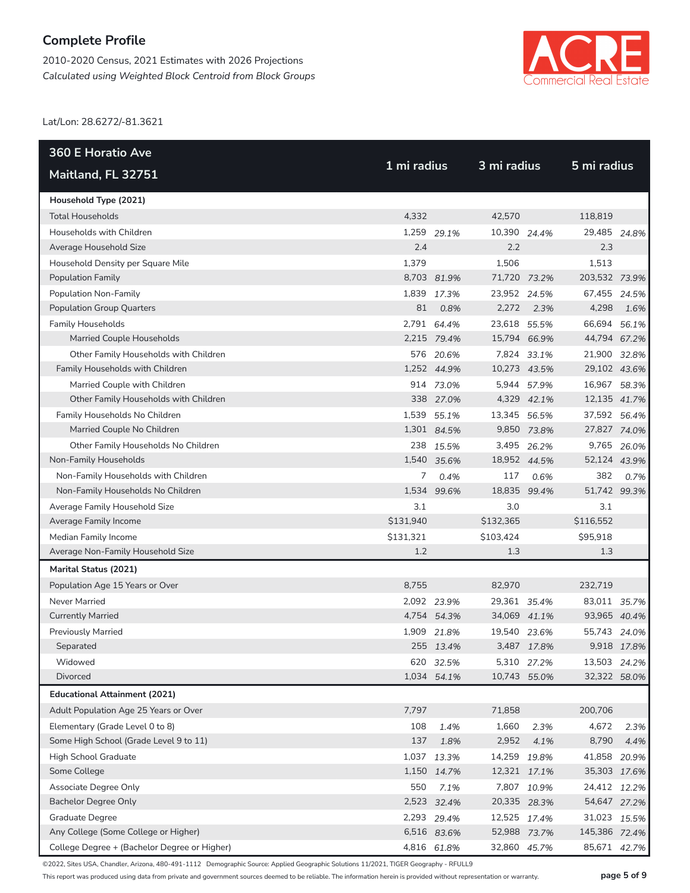2010-2020 Census, 2021 Estimates with 2026 Projections *Calculated using Weighted Block Centroid from Block Groups*



Lat/Lon: 28.6272/-81.3621

| <b>360 E Horatio Ave</b>                     |             |             |              |             |               |              |
|----------------------------------------------|-------------|-------------|--------------|-------------|---------------|--------------|
| Maitland, FL 32751                           | 1 mi radius |             | 3 mi radius  |             | 5 mi radius   |              |
| Household Type (2021)                        |             |             |              |             |               |              |
| <b>Total Households</b>                      | 4,332       |             | 42,570       |             | 118,819       |              |
| Households with Children                     |             | 1,259 29.1% | 10,390 24.4% |             | 29,485 24.8%  |              |
| Average Household Size                       | 2.4         |             | 2.2          |             | 2.3           |              |
| Household Density per Square Mile            | 1,379       |             | 1,506        |             | 1,513         |              |
| <b>Population Family</b>                     |             | 8,703 81.9% | 71,720 73.2% |             | 203,532 73.9% |              |
| Population Non-Family                        |             | 1,839 17.3% | 23,952 24.5% |             | 67,455 24.5%  |              |
| <b>Population Group Quarters</b>             | 81          | 0.8%        | 2,272        | 2.3%        | 4,298         | 1.6%         |
| <b>Family Households</b>                     |             | 2,791 64.4% | 23,618 55.5% |             | 66,694 56.1%  |              |
| Married Couple Households                    |             | 2,215 79.4% | 15,794 66.9% |             | 44,794 67.2%  |              |
| Other Family Households with Children        |             | 576 20.6%   |              | 7,824 33.1% | 21,900 32.8%  |              |
| Family Households with Children              |             | 1,252 44.9% | 10,273 43.5% |             | 29,102 43.6%  |              |
| Married Couple with Children                 |             | 914 73.0%   |              | 5,944 57.9% | 16,967 58.3%  |              |
| Other Family Households with Children        |             | 338 27.0%   |              | 4,329 42.1% | 12,135 41.7%  |              |
| Family Households No Children                |             | 1,539 55.1% | 13,345 56.5% |             | 37,592 56.4%  |              |
| Married Couple No Children                   |             | 1,301 84.5% |              | 9,850 73.8% | 27,827 74.0%  |              |
| Other Family Households No Children          |             | 238 15.5%   |              | 3,495 26.2% |               | 9,765 26.0%  |
| Non-Family Households                        |             | 1,540 35.6% | 18,952 44.5% |             | 52,124 43.9%  |              |
| Non-Family Households with Children          | 7           | 0.4%        | 117          | 0.6%        | 382           | 0.7%         |
| Non-Family Households No Children            | 1,534       | 99.6%       | 18,835       | 99.4%       | 51,742 99.3%  |              |
| Average Family Household Size                | 3.1         |             | 3.0          |             | 3.1           |              |
| Average Family Income                        | \$131,940   |             | \$132,365    |             | \$116,552     |              |
| Median Family Income                         | \$131,321   |             | \$103,424    |             | \$95,918      |              |
| Average Non-Family Household Size            | 1.2         |             | 1.3          |             | 1.3           |              |
| Marital Status (2021)                        |             |             |              |             |               |              |
| Population Age 15 Years or Over              | 8,755       |             | 82,970       |             | 232,719       |              |
| Never Married                                |             | 2,092 23.9% | 29,361 35.4% |             | 83,011 35.7%  |              |
| <b>Currently Married</b>                     |             | 4,754 54.3% | 34,069 41.1% |             | 93,965 40.4%  |              |
| <b>Previously Married</b>                    |             | 1,909 21.8% | 19,540 23.6% |             | 55,743 24.0%  |              |
| Separated                                    |             | 255 13.4%   |              | 3,487 17.8% |               | 9,918 17.8%  |
| Widowed                                      |             | 620 32.5%   |              | 5,310 27.2% | 13,503 24.2%  |              |
| Divorced                                     |             | 1,034 54.1% | 10,743 55.0% |             |               | 32,322 58.0% |
| <b>Educational Attainment (2021)</b>         |             |             |              |             |               |              |
| Adult Population Age 25 Years or Over        | 7,797       |             | 71,858       |             | 200,706       |              |
| Elementary (Grade Level 0 to 8)              | 108         | 1.4%        | 1,660        | 2.3%        | 4,672         | 2.3%         |
| Some High School (Grade Level 9 to 11)       | 137         | 1.8%        | 2,952        | 4.1%        | 8,790         | 4.4%         |
| High School Graduate                         |             | 1,037 13.3% | 14,259 19.8% |             | 41,858 20.9%  |              |
| Some College                                 |             | 1,150 14.7% | 12,321 17.1% |             |               | 35,303 17.6% |
| Associate Degree Only                        | 550         | 7.1%        |              | 7,807 10.9% | 24,412 12.2%  |              |
| <b>Bachelor Degree Only</b>                  |             | 2,523 32.4% | 20,335 28.3% |             |               | 54,647 27.2% |
| Graduate Degree                              |             | 2,293 29.4% | 12,525 17.4% |             | 31,023 15.5%  |              |
| Any College (Some College or Higher)         |             | 6,516 83.6% | 52,988 73.7% |             | 145,386 72.4% |              |
| College Degree + (Bachelor Degree or Higher) |             | 4,816 61.8% | 32,860 45.7% |             | 85,671 42.7%  |              |

©2022, Sites USA, Chandler, Arizona, 480-491-1112 Demographic Source: Applied Geographic Solutions 11/2021, TIGER Geography - RFULL9

This report was produced using data from private and government sources deemed to be reliable. The information herein is provided without representation or warranty. **page 5 of 9**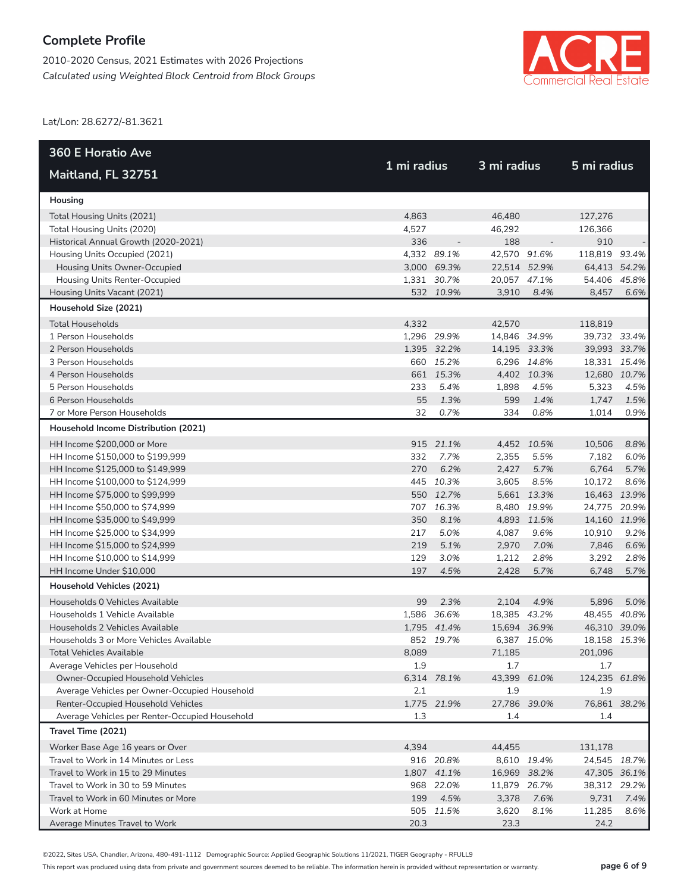2010-2020 Census, 2021 Estimates with 2026 Projections *Calculated using Weighted Block Centroid from Block Groups*



Lat/Lon: 28.6272/-81.3621

| <b>360 E Horatio Ave</b>                                                             |             |             |                     |             |                     |      |
|--------------------------------------------------------------------------------------|-------------|-------------|---------------------|-------------|---------------------|------|
| Maitland, FL 32751                                                                   | 1 mi radius |             | 3 mi radius         |             | 5 mi radius         |      |
| Housing                                                                              |             |             |                     |             |                     |      |
| Total Housing Units (2021)                                                           | 4,863       |             | 46,480              |             | 127,276             |      |
| Total Housing Units (2020)                                                           | 4,527       |             | 46,292              |             | 126,366             |      |
| Historical Annual Growth (2020-2021)                                                 | 336         |             | 188                 |             | 910                 |      |
| Housing Units Occupied (2021)                                                        |             | 4,332 89.1% | 42,570 91.6%        |             | 118,819 93.4%       |      |
| Housing Units Owner-Occupied                                                         |             | 3,000 69.3% | 22,514 52.9%        |             | 64,413 54.2%        |      |
| Housing Units Renter-Occupied                                                        |             | 1,331 30.7% | 20,057 47.1%        |             | 54,406 45.8%        |      |
| Housing Units Vacant (2021)                                                          |             | 532 10.9%   | 3,910               | 8.4%        | 8,457               | 6.6% |
| Household Size (2021)                                                                |             |             |                     |             |                     |      |
| <b>Total Households</b>                                                              | 4,332       |             | 42,570              |             | 118,819             |      |
| 1 Person Households                                                                  |             | 1,296 29.9% | 14,846 34.9%        |             | 39,732 33.4%        |      |
| 2 Person Households                                                                  |             | 1,395 32.2% | 14,195 33.3%        |             | 39,993 33.7%        |      |
| 3 Person Households                                                                  |             | 660 15.2%   |                     | 6,296 14.8% | 18,331 15.4%        |      |
| 4 Person Households                                                                  |             | 661 15.3%   |                     | 4,402 10.3% | 12,680 10.7%        |      |
| 5 Person Households                                                                  | 233         | 5.4%        | 1,898               | 4.5%        | 5,323               | 4.5% |
| 6 Person Households                                                                  | 55          | 1.3%        | 599                 | 1.4%        | 1,747               | 1.5% |
| 7 or More Person Households                                                          | 32          | 0.7%        | 334                 | 0.8%        | 1,014               | 0.9% |
| Household Income Distribution (2021)                                                 |             |             |                     |             |                     |      |
| HH Income \$200,000 or More                                                          |             | 915 21.1%   |                     | 4,452 10.5% | 10,506              | 8.8% |
| HH Income \$150,000 to \$199,999                                                     | 332         | 7.7%        | 2,355               | 5.5%        | 7,182               | 6.0% |
| HH Income \$125,000 to \$149,999                                                     | 270         | 6.2%        | 2,427               | 5.7%        | 6,764               | 5.7% |
| HH Income \$100,000 to \$124,999                                                     |             | 445 10.3%   | 3,605               | 8.5%        | 10,172              | 8.6% |
| HH Income \$75,000 to \$99,999                                                       |             | 550 12.7%   |                     | 5,661 13.3% | 16,463 13.9%        |      |
| HH Income \$50,000 to \$74,999                                                       |             | 707 16.3%   |                     | 8,480 19.9% | 24,775 20.9%        |      |
| HH Income \$35,000 to \$49,999                                                       | 350         | 8.1%        |                     | 4,893 11.5% | 14,160 11.9%        |      |
| HH Income \$25,000 to \$34,999                                                       | 217         | 5.0%        | 4,087               | 9.6%        | 10,910              | 9.2% |
| HH Income \$15,000 to \$24,999                                                       | 219         | 5.1%        | 2,970               | 7.0%        | 7,846               | 6.6% |
| HH Income \$10,000 to \$14,999                                                       | 129         | 3.0%        | 1,212               | 2.8%        | 3,292               | 2.8% |
| HH Income Under \$10,000                                                             | 197         | 4.5%        | 2,428               | 5.7%        | 6,748               | 5.7% |
| Household Vehicles (2021)                                                            |             |             |                     |             |                     |      |
| Households 0 Vehicles Available                                                      | 99          | 2.3%        | 2,104               | 4.9%        | 5,896               | 5.0% |
| Households 1 Vehicle Available                                                       |             | 1,586 36.6% | 18,385 43.2%        |             | 48,455 40.8%        |      |
| Households 2 Vehicles Available                                                      |             | 1.795 41.4% | 15,694 36.9%        |             | 46,310 39.0%        |      |
| Households 3 or More Vehicles Available                                              |             | 852 19.7%   |                     | 6,387 15.0% | 18,158 15.3%        |      |
| <b>Total Vehicles Available</b>                                                      | 8,089       |             | 71,185              |             | 201,096             |      |
| Average Vehicles per Household                                                       | 1.9         |             | 1.7                 |             | 1.7                 |      |
| Owner-Occupied Household Vehicles                                                    |             | 6,314 78.1% | 43,399 61.0%        |             | 124,235 61.8%       |      |
| Average Vehicles per Owner-Occupied Household                                        | 2.1         |             | 1.9                 |             | 1.9                 |      |
| Renter-Occupied Household Vehicles<br>Average Vehicles per Renter-Occupied Household | 1.3         | 1,775 21.9% | 27,786 39.0%<br>1.4 |             | 76,861 38.2%<br>1.4 |      |
| Travel Time (2021)                                                                   |             |             |                     |             |                     |      |
|                                                                                      | 4,394       |             | 44,455              |             | 131,178             |      |
| Worker Base Age 16 years or Over<br>Travel to Work in 14 Minutes or Less             |             | 916 20.8%   |                     | 8,610 19.4% | 24,545 18.7%        |      |
| Travel to Work in 15 to 29 Minutes                                                   |             | 1,807 41.1% | 16,969 38.2%        |             | 47,305 36.1%        |      |
| Travel to Work in 30 to 59 Minutes                                                   |             | 968 22.0%   | 11,879 26.7%        |             | 38,312 29.2%        |      |
| Travel to Work in 60 Minutes or More                                                 | 199         | 4.5%        | 3,378               | 7.6%        | 9,731               | 7.4% |
| Work at Home                                                                         |             | 505 11.5%   | 3,620               | 8.1%        | 11,285              | 8.6% |
| Average Minutes Travel to Work                                                       | 20.3        |             | 23.3                |             | 24.2                |      |

©2022, Sites USA, Chandler, Arizona, 480-491-1112 Demographic Source: Applied Geographic Solutions 11/2021, TIGER Geography - RFULL9

This report was produced using data from private and government sources deemed to be reliable. The information herein is provided without representation or warranty. **page 6 of 9**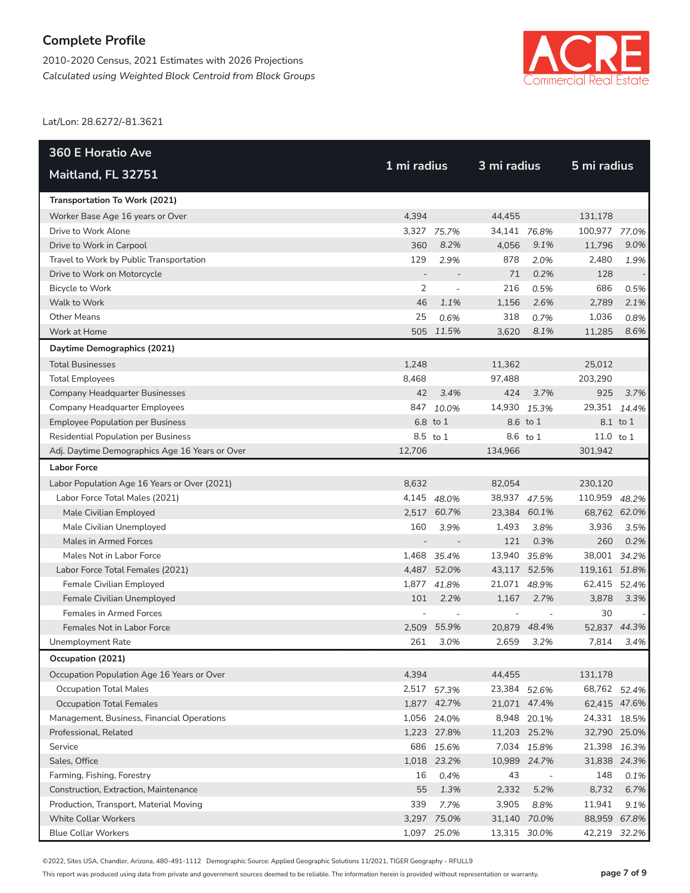2010-2020 Census, 2021 Estimates with 2026 Projections *Calculated using Weighted Block Centroid from Block Groups*



Lat/Lon: 28.6272/-81.3621

| <b>360 E Horatio Ave</b>                       |             |                          | 3 mi radius  |                          |               |          |  |  |
|------------------------------------------------|-------------|--------------------------|--------------|--------------------------|---------------|----------|--|--|
| Maitland, FL 32751                             | 1 mi radius |                          |              |                          | 5 mi radius   |          |  |  |
| Transportation To Work (2021)                  |             |                          |              |                          |               |          |  |  |
| Worker Base Age 16 years or Over               | 4,394       |                          | 44,455       |                          | 131,178       |          |  |  |
| Drive to Work Alone                            |             | 3,327 75.7%              | 34,141 76.8% |                          | 100,977 77.0% |          |  |  |
| Drive to Work in Carpool                       | 360         | 8.2%                     | 4,056        | 9.1%                     | 11,796        | 9.0%     |  |  |
| Travel to Work by Public Transportation        | 129         | 2.9%                     | 878          | 2.0%                     | 2,480         | 1.9%     |  |  |
| Drive to Work on Motorcycle                    |             |                          | 71           | 0.2%                     | 128           |          |  |  |
| Bicycle to Work                                | 2           | $\overline{\phantom{a}}$ | 216          | 0.5%                     | 686           | 0.5%     |  |  |
| Walk to Work                                   | 46          | 1.1%                     | 1,156        | 2.6%                     | 2,789         | 2.1%     |  |  |
| <b>Other Means</b>                             | 25          | 0.6%                     | 318          | 0.7%                     | 1,036         | 0.8%     |  |  |
| Work at Home                                   |             | 505 11.5%                | 3,620        | 8.1%                     | 11,285        | 8.6%     |  |  |
| Daytime Demographics (2021)                    |             |                          |              |                          |               |          |  |  |
| <b>Total Businesses</b>                        | 1,248       |                          | 11,362       |                          | 25,012        |          |  |  |
| <b>Total Employees</b>                         | 8,468       |                          | 97,488       |                          | 203,290       |          |  |  |
| <b>Company Headquarter Businesses</b>          | 42          | 3.4%                     | 424          | 3.7%                     | 925           | 3.7%     |  |  |
| Company Headquarter Employees                  |             | 847 10.0%                | 14,930 15.3% |                          | 29,351 14.4%  |          |  |  |
| <b>Employee Population per Business</b>        |             | 6.8 to 1                 |              | 8.6 to 1                 |               | 8.1 to 1 |  |  |
| <b>Residential Population per Business</b>     |             | 8.5 to 1                 |              | 8.6 to 1                 | 11.0 to $1$   |          |  |  |
| Adj. Daytime Demographics Age 16 Years or Over | 12,706      |                          | 134.966      |                          | 301,942       |          |  |  |
| <b>Labor Force</b>                             |             |                          |              |                          |               |          |  |  |
| Labor Population Age 16 Years or Over (2021)   | 8,632       |                          | 82,054       |                          | 230,120       |          |  |  |
| Labor Force Total Males (2021)                 |             | 4,145 48.0%              | 38,937 47.5% |                          | 110,959 48.2% |          |  |  |
| Male Civilian Employed                         |             | 2,517 60.7%              | 23,384 60.1% |                          | 68,762 62.0%  |          |  |  |
| Male Civilian Unemployed                       | 160         | 3.9%                     | 1,493        | 3.8%                     | 3,936         | 3.5%     |  |  |
| Males in Armed Forces                          |             |                          | 121          | 0.3%                     | 260           | 0.2%     |  |  |
| Males Not in Labor Force                       |             | 1,468 35.4%              | 13,940 35.8% |                          | 38,001 34.2%  |          |  |  |
| Labor Force Total Females (2021)               |             | 4,487 52.0%              | 43,117 52.5% |                          | 119,161 51.8% |          |  |  |
| Female Civilian Employed                       |             | 1,877 41.8%              | 21,071 48.9% |                          | 62,415 52.4%  |          |  |  |
| Female Civilian Unemployed                     | 101         | 2.2%                     | 1,167        | 2.7%                     | 3,878         | 3.3%     |  |  |
| Females in Armed Forces                        |             |                          |              |                          | 30            |          |  |  |
| Females Not in Labor Force                     |             | 2,509 55.9%              |              | 20,879 48.4%             | 52,837 44.3%  |          |  |  |
| Unemployment Rate                              | 261         | 3.0%                     | 2,659        | 3.2%                     | 7,814         | 3.4%     |  |  |
| Occupation (2021)                              |             |                          |              |                          |               |          |  |  |
| Occupation Population Age 16 Years or Over     | 4,394       |                          | 44,455       |                          | 131,178       |          |  |  |
| <b>Occupation Total Males</b>                  |             | 2,517 57.3%              | 23,384 52.6% |                          | 68,762 52.4%  |          |  |  |
| <b>Occupation Total Females</b>                |             | 1,877 42.7%              | 21,071 47.4% |                          | 62,415 47.6%  |          |  |  |
| Management, Business, Financial Operations     |             | 1,056 24.0%              |              | 8,948 20.1%              | 24,331 18.5%  |          |  |  |
| Professional, Related                          |             | 1,223 27.8%              | 11,203 25.2% |                          | 32,790 25.0%  |          |  |  |
| Service                                        |             | 686 15.6%                |              | 7,034 15.8%              | 21,398 16.3%  |          |  |  |
| Sales, Office                                  |             | 1,018 23.2%              |              | 10,989 24.7%             | 31,838 24.3%  |          |  |  |
| Farming, Fishing, Forestry                     | 16          | 0.4%                     | 43           | $\overline{\phantom{a}}$ | 148           | 0.1%     |  |  |
| Construction, Extraction, Maintenance          | 55          | 1.3%                     | 2,332        | 5.2%                     | 8,732         | 6.7%     |  |  |
| Production, Transport, Material Moving         | 339         | 7.7%                     | 3,905        | 8.8%                     | 11,941        | 9.1%     |  |  |
| White Collar Workers                           |             | 3,297 75.0%              | 31,140 70.0% |                          | 88,959 67.8%  |          |  |  |
| <b>Blue Collar Workers</b>                     |             | 1,097 25.0%              | 13,315 30.0% |                          | 42,219 32.2%  |          |  |  |

©2022, Sites USA, Chandler, Arizona, 480-491-1112 Demographic Source: Applied Geographic Solutions 11/2021, TIGER Geography - RFULL9

This report was produced using data from private and government sources deemed to be reliable. The information herein is provided without representation or warranty. **page 7 of 9**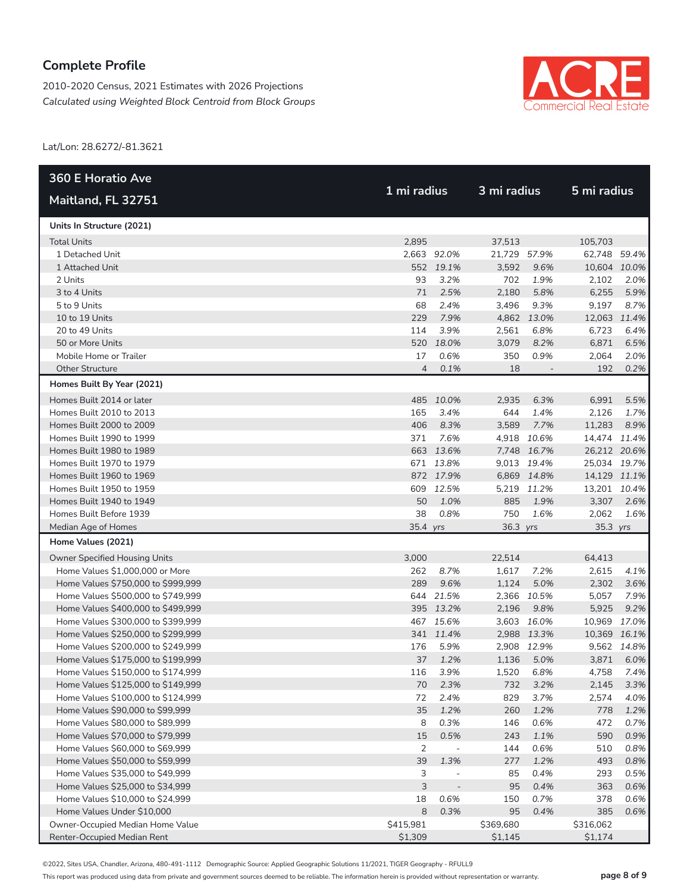2010-2020 Census, 2021 Estimates with 2026 Projections *Calculated using Weighted Block Centroid from Block Groups*



Lat/Lon: 28.6272/-81.3621

| <b>360 E Horatio Ave</b>           |                |                          |             |             |              |             |
|------------------------------------|----------------|--------------------------|-------------|-------------|--------------|-------------|
| Maitland, FL 32751                 | 1 mi radius    |                          | 3 mi radius |             | 5 mi radius  |             |
| Units In Structure (2021)          |                |                          |             |             |              |             |
| <b>Total Units</b>                 | 2,895          |                          | 37,513      |             | 105,703      |             |
| 1 Detached Unit                    |                | 2,663 92.0%              | 21,729      | 57.9%       | 62,748 59.4% |             |
| 1 Attached Unit                    |                | 552 19.1%                | 3,592       | 9.6%        | 10,604 10.0% |             |
| 2 Units                            | 93             | 3.2%                     | 702         | 1.9%        | 2,102        | 2.0%        |
| 3 to 4 Units                       | 71             | 2.5%                     | 2,180       | 5.8%        | 6,255        | 5.9%        |
| 5 to 9 Units                       | 68             | 2.4%                     | 3,496       | 9.3%        | 9,197        | 8.7%        |
| 10 to 19 Units                     | 229            | 7.9%                     | 4,862       | 13.0%       | 12,063 11.4% |             |
| 20 to 49 Units                     | 114            | 3.9%                     | 2,561       | 6.8%        | 6,723        | 6.4%        |
| 50 or More Units                   | 520            | 18.0%                    | 3,079       | 8.2%        | 6,871        | 6.5%        |
| Mobile Home or Trailer             | 17             | 0.6%                     | 350         | 0.9%        | 2,064        | 2.0%        |
| <b>Other Structure</b>             | $\overline{4}$ | 0.1%                     | 18          |             | 192          | 0.2%        |
| Homes Built By Year (2021)         |                |                          |             |             |              |             |
| Homes Built 2014 or later          |                | 485 10.0%                | 2,935       | 6.3%        | 6,991        | 5.5%        |
| Homes Built 2010 to 2013           | 165            | 3.4%                     | 644         | 1.4%        | 2,126        | 1.7%        |
| Homes Built 2000 to 2009           | 406            | 8.3%                     | 3,589       | 7.7%        | 11,283       | 8.9%        |
| Homes Built 1990 to 1999           | 371            | 7.6%                     |             | 4,918 10.6% | 14,474 11.4% |             |
| Homes Built 1980 to 1989           |                | 663 13.6%                |             | 7,748 16.7% | 26,212 20.6% |             |
| Homes Built 1970 to 1979           |                | 671 13.8%                |             | 9,013 19.4% | 25,034 19.7% |             |
| Homes Built 1960 to 1969           |                | 872 17.9%                |             | 6,869 14.8% | 14,129 11.1% |             |
| Homes Built 1950 to 1959           | 609            | 12.5%                    |             | 5,219 11.2% | 13,201 10.4% |             |
| Homes Built 1940 to 1949           | 50             | 1.0%                     | 885         | 1.9%        | 3,307        | 2.6%        |
| Homes Built Before 1939            | 38             | 0.8%                     | 750         | 1.6%        | 2,062        | 1.6%        |
| Median Age of Homes                | 35.4 yrs       |                          | 36.3 yrs    |             | 35.3 yrs     |             |
| Home Values (2021)                 |                |                          |             |             |              |             |
| Owner Specified Housing Units      | 3,000          |                          | 22,514      |             | 64,413       |             |
| Home Values \$1,000,000 or More    | 262            | 8.7%                     | 1,617       | 7.2%        | 2,615        | 4.1%        |
| Home Values \$750,000 to \$999,999 | 289            | 9.6%                     | 1,124       | 5.0%        | 2,302        | 3.6%        |
| Home Values \$500,000 to \$749,999 |                | 644 21.5%                | 2,366       | 10.5%       | 5,057        | 7.9%        |
| Home Values \$400,000 to \$499,999 |                | 395 13.2%                | 2,196       | 9.8%        | 5,925        | 9.2%        |
| Home Values \$300,000 to \$399,999 | 467            | 15.6%                    |             | 3,603 16.0% | 10,969       | 17.0%       |
| Home Values \$250,000 to \$299,999 |                | 341 11.4%                |             | 2,988 13.3% | 10,369 16.1% |             |
| Home Values \$200,000 to \$249,999 | 176            | 5.9%                     |             | 2,908 12.9% |              | 9,562 14.8% |
| Home Values \$175,000 to \$199,999 | 37             | 1.2%                     | 1,136       | 5.0%        | 3,871        | 6.0%        |
| Home Values \$150,000 to \$174,999 | 116            | 3.9%                     | 1,520       | 6.8%        | 4,758        | 7.4%        |
| Home Values \$125,000 to \$149,999 | 70             | 2.3%                     | 732         | 3.2%        | 2,145        | 3.3%        |
| Home Values \$100,000 to \$124,999 | 72             | 2.4%                     | 829         | 3.7%        | 2,574        | 4.0%        |
| Home Values \$90,000 to \$99,999   | 35             | 1.2%                     | 260         | 1.2%        | 778          | 1.2%        |
| Home Values \$80,000 to \$89,999   | 8              | 0.3%                     | 146         | 0.6%        | 472          | 0.7%        |
| Home Values \$70,000 to \$79,999   | 15             | 0.5%                     | 243         | 1.1%        | 590          | 0.9%        |
| Home Values \$60,000 to \$69,999   | 2              | $\overline{\phantom{a}}$ | 144         | 0.6%        | 510          | 0.8%        |
| Home Values \$50,000 to \$59,999   | 39             | 1.3%                     | 277         | 1.2%        | 493          | 0.8%        |
| Home Values \$35,000 to \$49,999   | 3              | $\overline{a}$           | 85          | 0.4%        | 293          | 0.5%        |
| Home Values \$25,000 to \$34,999   | 3              | $\overline{a}$           | 95          | 0.4%        | 363          | 0.6%        |
| Home Values \$10,000 to \$24,999   | 18             | 0.6%                     | 150         | 0.7%        | 378          | 0.6%        |
| Home Values Under \$10,000         | 8              | 0.3%                     | 95          | 0.4%        | 385          | 0.6%        |
| Owner-Occupied Median Home Value   | \$415,981      |                          | \$369,680   |             | \$316,062    |             |
| Renter-Occupied Median Rent        | \$1,309        |                          | \$1,145     |             | \$1,174      |             |

©2022, Sites USA, Chandler, Arizona, 480-491-1112 Demographic Source: Applied Geographic Solutions 11/2021, TIGER Geography - RFULL9

This report was produced using data from private and government sources deemed to be reliable. The information herein is provided without representation or warranty. **page 8 of 9**